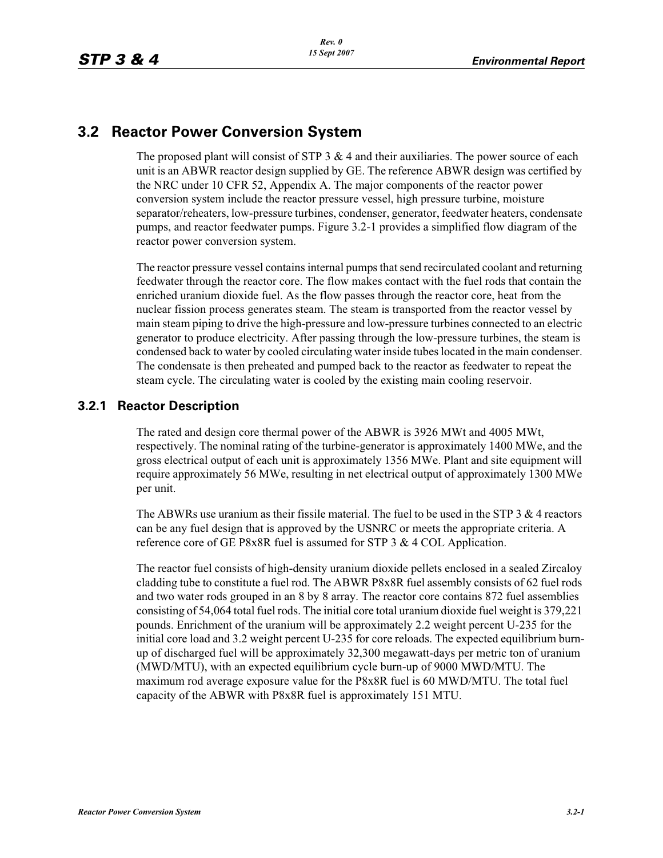## **3.2 Reactor Power Conversion System**

The proposed plant will consist of STP  $3 \& 4$  and their auxiliaries. The power source of each unit is an ABWR reactor design supplied by GE. The reference ABWR design was certified by the NRC under 10 CFR 52, Appendix A. The major components of the reactor power conversion system include the reactor pressure vessel, high pressure turbine, moisture separator/reheaters, low-pressure turbines, condenser, generator, feedwater heaters, condensate pumps, and reactor feedwater pumps. Figure 3.2-1 provides a simplified flow diagram of the reactor power conversion system.

The reactor pressure vessel contains internal pumps that send recirculated coolant and returning feedwater through the reactor core. The flow makes contact with the fuel rods that contain the enriched uranium dioxide fuel. As the flow passes through the reactor core, heat from the nuclear fission process generates steam. The steam is transported from the reactor vessel by main steam piping to drive the high-pressure and low-pressure turbines connected to an electric generator to produce electricity. After passing through the low-pressure turbines, the steam is condensed back to water by cooled circulating water inside tubes located in the main condenser. The condensate is then preheated and pumped back to the reactor as feedwater to repeat the steam cycle. The circulating water is cooled by the existing main cooling reservoir.

## **3.2.1 Reactor Description**

The rated and design core thermal power of the ABWR is 3926 MWt and 4005 MWt, respectively. The nominal rating of the turbine-generator is approximately 1400 MWe, and the gross electrical output of each unit is approximately 1356 MWe. Plant and site equipment will require approximately 56 MWe, resulting in net electrical output of approximately 1300 MWe per unit.

The ABWRs use uranium as their fissile material. The fuel to be used in the STP  $3 \& 4$  reactors can be any fuel design that is approved by the USNRC or meets the appropriate criteria. A reference core of GE P8x8R fuel is assumed for STP 3 & 4 COL Application.

The reactor fuel consists of high-density uranium dioxide pellets enclosed in a sealed Zircaloy cladding tube to constitute a fuel rod. The ABWR P8x8R fuel assembly consists of 62 fuel rods and two water rods grouped in an 8 by 8 array. The reactor core contains 872 fuel assemblies consisting of 54,064 total fuel rods. The initial core total uranium dioxide fuel weight is 379,221 pounds. Enrichment of the uranium will be approximately 2.2 weight percent U-235 for the initial core load and 3.2 weight percent U-235 for core reloads. The expected equilibrium burnup of discharged fuel will be approximately 32,300 megawatt-days per metric ton of uranium (MWD/MTU), with an expected equilibrium cycle burn-up of 9000 MWD/MTU. The maximum rod average exposure value for the P8x8R fuel is 60 MWD/MTU. The total fuel capacity of the ABWR with P8x8R fuel is approximately 151 MTU.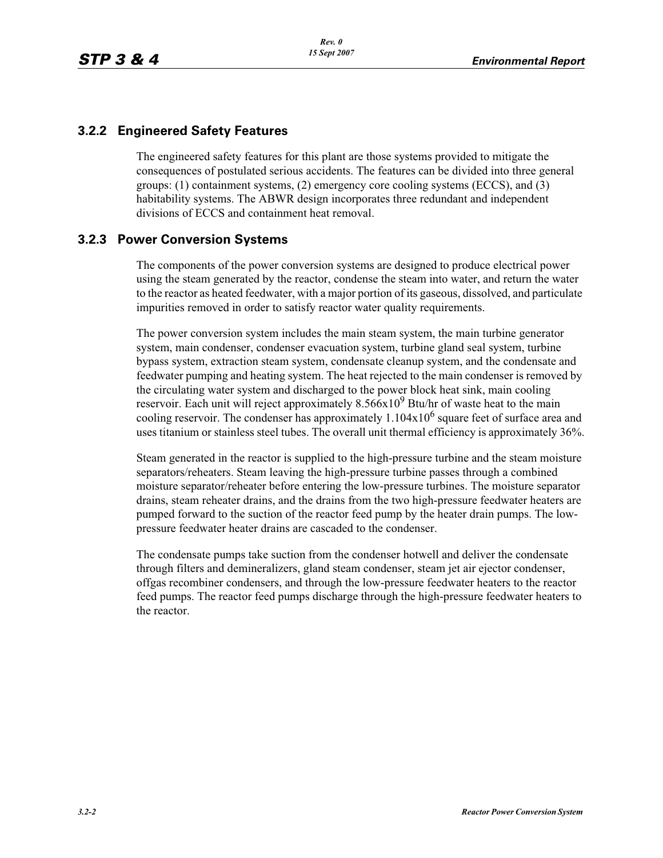## **3.2.2 Engineered Safety Features**

The engineered safety features for this plant are those systems provided to mitigate the consequences of postulated serious accidents. The features can be divided into three general groups: (1) containment systems, (2) emergency core cooling systems (ECCS), and (3) habitability systems. The ABWR design incorporates three redundant and independent divisions of ECCS and containment heat removal.

## **3.2.3 Power Conversion Systems**

The components of the power conversion systems are designed to produce electrical power using the steam generated by the reactor, condense the steam into water, and return the water to the reactor as heated feedwater, with a major portion of its gaseous, dissolved, and particulate impurities removed in order to satisfy reactor water quality requirements.

The power conversion system includes the main steam system, the main turbine generator system, main condenser, condenser evacuation system, turbine gland seal system, turbine bypass system, extraction steam system, condensate cleanup system, and the condensate and feedwater pumping and heating system. The heat rejected to the main condenser is removed by the circulating water system and discharged to the power block heat sink, main cooling reservoir. Each unit will reject approximately  $8.566x10^9$  Btu/hr of waste heat to the main cooling reservoir. The condenser has approximately  $1.104x10^6$  square feet of surface area and uses titanium or stainless steel tubes. The overall unit thermal efficiency is approximately 36%.

Steam generated in the reactor is supplied to the high-pressure turbine and the steam moisture separators/reheaters. Steam leaving the high-pressure turbine passes through a combined moisture separator/reheater before entering the low-pressure turbines. The moisture separator drains, steam reheater drains, and the drains from the two high-pressure feedwater heaters are pumped forward to the suction of the reactor feed pump by the heater drain pumps. The lowpressure feedwater heater drains are cascaded to the condenser.

The condensate pumps take suction from the condenser hotwell and deliver the condensate through filters and demineralizers, gland steam condenser, steam jet air ejector condenser, offgas recombiner condensers, and through the low-pressure feedwater heaters to the reactor feed pumps. The reactor feed pumps discharge through the high-pressure feedwater heaters to the reactor.